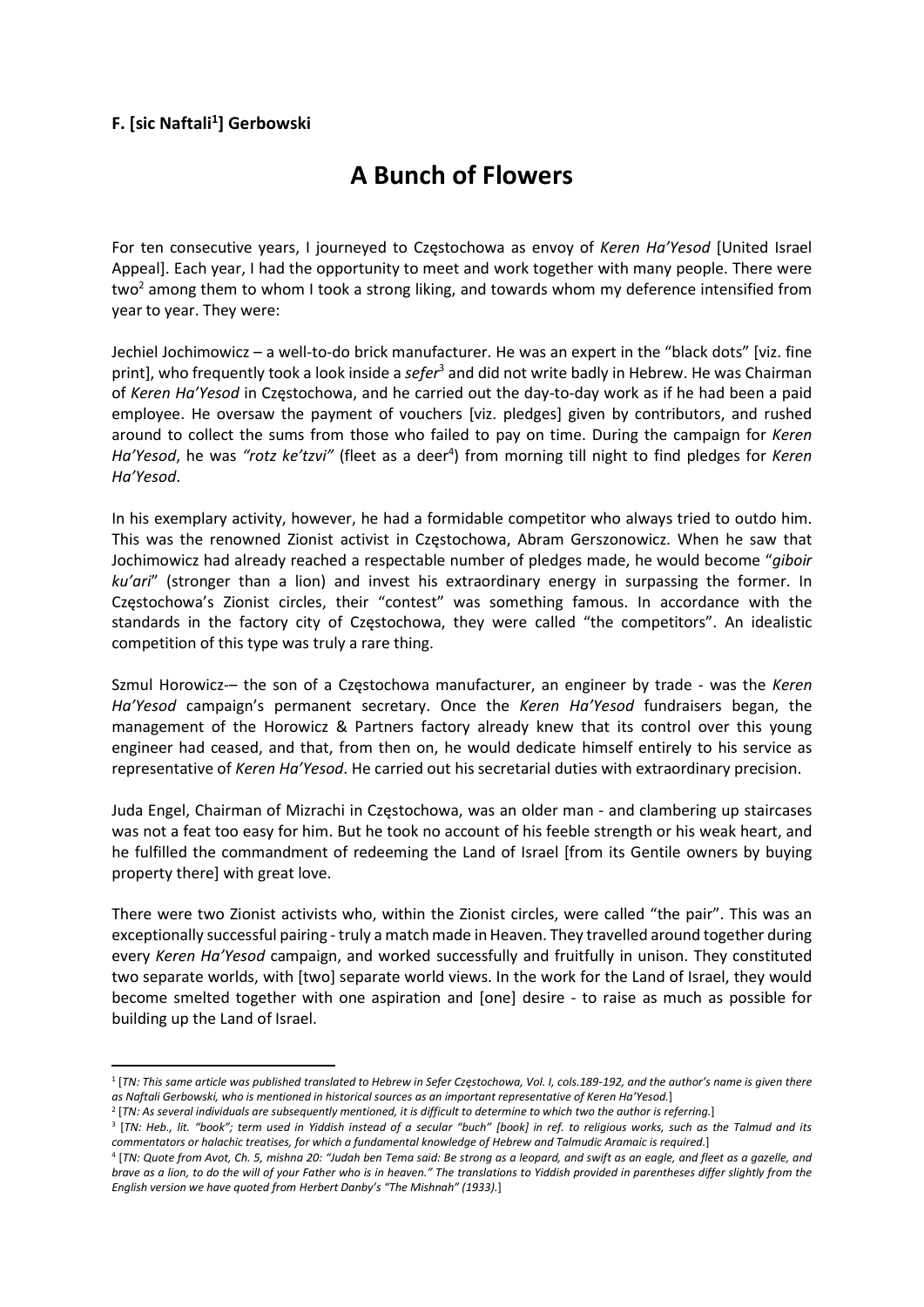## F. [sic Naftali<sup>1</sup>] Gerbowski

## A Bunch of Flowers

For ten consecutive years, I journeyed to Czestochowa as envoy of Keren Ha'Yesod [United Israel] Appeal]. Each year, I had the opportunity to meet and work together with many people. There were two<sup>2</sup> among them to whom I took a strong liking, and towards whom my deference intensified from year to year. They were:

Jechiel Jochimowicz – a well-to-do brick manufacturer. He was an expert in the "black dots" [viz. fine print], who frequently took a look inside a sefer<sup>3</sup> and did not write badly in Hebrew. He was Chairman of Keren Ha'Yesod in Częstochowa, and he carried out the day-to-day work as if he had been a paid employee. He oversaw the payment of vouchers [viz. pledges] given by contributors, and rushed around to collect the sums from those who failed to pay on time. During the campaign for Keren Ha'Yesod, he was "rotz ke'tzvi" (fleet as a deer<sup>4</sup>) from morning till night to find pledges for Keren Ha'Yesod.

In his exemplary activity, however, he had a formidable competitor who always tried to outdo him. This was the renowned Zionist activist in Częstochowa, Abram Gerszonowicz. When he saw that Jochimowicz had already reached a respectable number of pledges made, he would become "giboir ku'ari" (stronger than a lion) and invest his extraordinary energy in surpassing the former. In Częstochowa's Zionist circles, their "contest" was something famous. In accordance with the standards in the factory city of Częstochowa, they were called "the competitors". An idealistic competition of this type was truly a rare thing.

Szmul Horowicz-– the son of a Częstochowa manufacturer, an engineer by trade - was the Keren Ha'Yesod campaign's permanent secretary. Once the Keren Ha'Yesod fundraisers began, the management of the Horowicz & Partners factory already knew that its control over this young engineer had ceased, and that, from then on, he would dedicate himself entirely to his service as representative of Keren Ha'Yesod. He carried out his secretarial duties with extraordinary precision.

Juda Engel, Chairman of Mizrachi in Częstochowa, was an older man - and clambering up staircases was not a feat too easy for him. But he took no account of his feeble strength or his weak heart, and he fulfilled the commandment of redeeming the Land of Israel [from its Gentile owners by buying property there] with great love.

There were two Zionist activists who, within the Zionist circles, were called "the pair". This was an exceptionally successful pairing - truly a match made in Heaven. They travelled around together during every Keren Ha'Yesod campaign, and worked successfully and fruitfully in unison. They constituted two separate worlds, with [two] separate world views. In the work for the Land of Israel, they would become smelted together with one aspiration and [one] desire - to raise as much as possible for building up the Land of Israel.

<sup>1</sup> [TN: This same article was published translated to Hebrew in Sefer Częstochowa, Vol. I, cols.189-192, and the author's name is given there as Naftali Gerbowski, who is mentioned in historical sources as an important representative of Keren Ha'Yesod.]

<sup>&</sup>lt;sup>2</sup> [TN: As several individuals are subsequently mentioned, it is difficult to determine to which two the author is referring.]

<sup>3</sup> [TN: Heb., lit. "book"; term used in Yiddish instead of a secular "buch" [book] in ref. to religious works, such as the Talmud and its commentators or halachic treatises, for which a fundamental knowledge of Hebrew and Talmudic Aramaic is required.]

<sup>4</sup> [TN: Quote from Avot, Ch. 5, mishna 20: "Judah ben Tema said: Be strong as a leopard, and swift as an eagle, and fleet as a gazelle, and brave as a lion, to do the will of your Father who is in heaven." The translations to Yiddish provided in parentheses differ slightly from the English version we have quoted from Herbert Danby's "The Mishnah" (1933).]